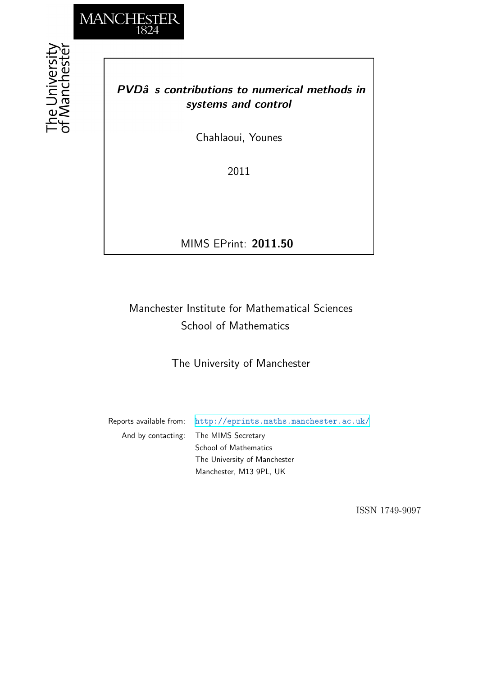

the University<br>f Mancheste

## *PVDâs contributions to numerical methods in systems and control*

Chahlaoui, Younes

2011

MIMS EPrint: **2011.50**

## Manchester Institute for Mathematical Sciences School of Mathematics

The University of Manchester

Reports available from: <http://eprints.maths.manchester.ac.uk/> And by contacting: The MIMS Secretary School of Mathematics The University of Manchester Manchester, M13 9PL, UK

ISSN 1749-9097